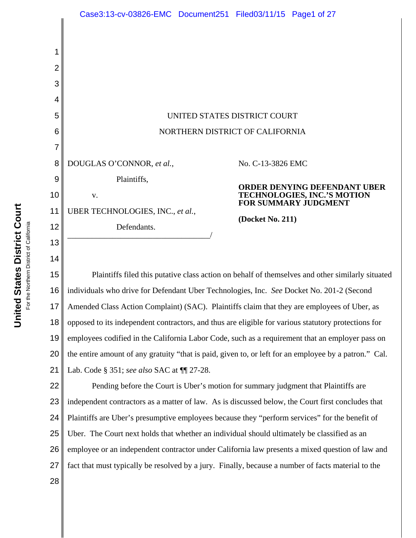|                          | Case3:13-cv-03826-EMC Document251 Filed03/11/15 Page1 of 27                                      |                                                     |
|--------------------------|--------------------------------------------------------------------------------------------------|-----------------------------------------------------|
| 1<br>$\overline{2}$<br>3 |                                                                                                  |                                                     |
| 4                        |                                                                                                  |                                                     |
| 5                        | UNITED STATES DISTRICT COURT<br>NORTHERN DISTRICT OF CALIFORNIA                                  |                                                     |
| 6                        |                                                                                                  |                                                     |
| 7                        |                                                                                                  |                                                     |
| 8                        | DOUGLAS O'CONNOR, et al.,                                                                        | No. C-13-3826 EMC                                   |
| 9                        | Plaintiffs,                                                                                      | <b>ORDER DENYING DEFENDANT UBER</b>                 |
| 10                       | V.                                                                                               | TECHNOLOGIES, INC.'S MOTION<br>FOR SUMMARY JUDGMENT |
| 11                       | UBER TECHNOLOGIES, INC., et al.,                                                                 |                                                     |
| 12                       | Defendants.                                                                                      | (Docket No. 211)                                    |
| 13                       |                                                                                                  |                                                     |
| 14                       |                                                                                                  |                                                     |
| 15                       | Plaintiffs filed this putative class action on behalf of themselves and other similarly situated |                                                     |

16 17 18 19 20 21 individuals who drive for Defendant Uber Technologies, Inc. *See* Docket No. 201-2 (Second Amended Class Action Complaint) (SAC). Plaintiffs claim that they are employees of Uber, as opposed to its independent contractors, and thus are eligible for various statutory protections for employees codified in the California Labor Code, such as a requirement that an employer pass on the entire amount of any gratuity "that is paid, given to, or left for an employee by a patron." Cal. Lab. Code § 351; *see also* SAC at ¶¶ 27-28.

22 23 24 25 26 27 Pending before the Court is Uber's motion for summary judgment that Plaintiffs are independent contractors as a matter of law. As is discussed below, the Court first concludes that Plaintiffs are Uber's presumptive employees because they "perform services" for the benefit of Uber. The Court next holds that whether an individual should ultimately be classified as an employee or an independent contractor under California law presents a mixed question of law and fact that must typically be resolved by a jury. Finally, because a number of facts material to the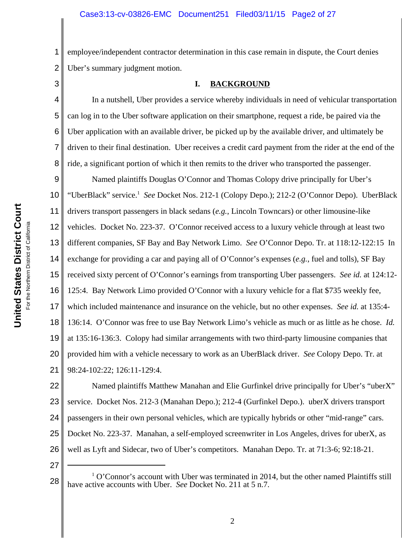1 2 employee/independent contractor determination in this case remain in dispute, the Court denies Uber's summary judgment motion.

3

5

6

7

## **I. BACKGROUND**

4 8 In a nutshell, Uber provides a service whereby individuals in need of vehicular transportation can log in to the Uber software application on their smartphone, request a ride, be paired via the Uber application with an available driver, be picked up by the available driver, and ultimately be driven to their final destination. Uber receives a credit card payment from the rider at the end of the ride, a significant portion of which it then remits to the driver who transported the passenger.

9 10 11 12 13 14 15 16 17 18 19 20 21 Named plaintiffs Douglas O'Connor and Thomas Colopy drive principally for Uber's "UberBlack" service.<sup>1</sup> See Docket Nos. 212-1 (Colopy Depo.); 212-2 (O'Connor Depo). UberBlack drivers transport passengers in black sedans (*e.g.*, Lincoln Towncars) or other limousine-like vehicles. Docket No. 223-37. O'Connor received access to a luxury vehicle through at least two different companies, SF Bay and Bay Network Limo. *See* O'Connor Depo. Tr. at 118:12-122:15 In exchange for providing a car and paying all of O'Connor's expenses (*e.g.*, fuel and tolls), SF Bay received sixty percent of O'Connor's earnings from transporting Uber passengers. *See id.* at 124:12- 125:4. Bay Network Limo provided O'Connor with a luxury vehicle for a flat \$735 weekly fee, which included maintenance and insurance on the vehicle, but no other expenses. *See id.* at 135:4- 136:14. O'Connor was free to use Bay Network Limo's vehicle as much or as little as he chose. *Id.* at 135:16-136:3. Colopy had similar arrangements with two third-party limousine companies that provided him with a vehicle necessary to work as an UberBlack driver. *See* Colopy Depo. Tr. at 98:24-102:22; 126:11-129:4.

22 23 24 25 26 Named plaintiffs Matthew Manahan and Elie Gurfinkel drive principally for Uber's "uberX" service. Docket Nos. 212-3 (Manahan Depo.); 212-4 (Gurfinkel Depo.). uberX drivers transport passengers in their own personal vehicles, which are typically hybrids or other "mid-range" cars. Docket No. 223-37. Manahan, a self-employed screenwriter in Los Angeles, drives for uberX, as well as Lyft and Sidecar, two of Uber's competitors. Manahan Depo. Tr. at 71:3-6; 92:18-21.

<sup>28</sup> <sup>1</sup> O'Connor's account with Uber was terminated in 2014, but the other named Plaintiffs still have active accounts with Uber. *See* Docket No. 211 at 5 n.7.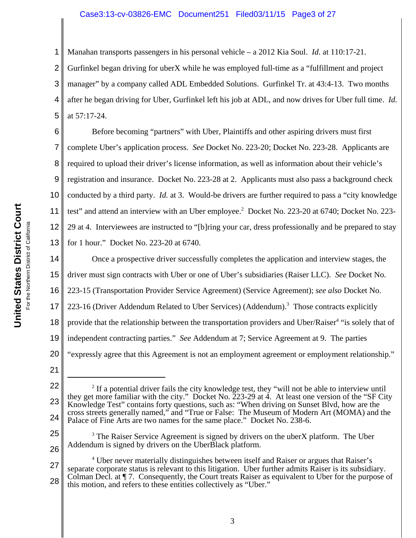## Case3:13-cv-03826-EMC Document251 Filed03/11/15 Page3 of 27

Manahan transports passengers in his personal vehicle – a 2012 Kia Soul. *Id.* at 110:17-21.

2 3 4 5 Gurfinkel began driving for uberX while he was employed full-time as a "fulfillment and project manager" by a company called ADL Embedded Solutions. Gurfinkel Tr. at 43:4-13. Two months after he began driving for Uber, Gurfinkel left his job at ADL, and now drives for Uber full time. *Id.* at 57:17-24.

6 7 8 9 10 11 12 13 Before becoming "partners" with Uber, Plaintiffs and other aspiring drivers must first complete Uber's application process. *See* Docket No. 223-20; Docket No. 223-28. Applicants are required to upload their driver's license information, as well as information about their vehicle's registration and insurance. Docket No. 223-28 at 2. Applicants must also pass a background check conducted by a third party. *Id.* at 3. Would-be drivers are further required to pass a "city knowledge test" and attend an interview with an Uber employee.<sup>2</sup> Docket No. 223-20 at 6740; Docket No. 223-29 at 4. Interviewees are instructed to "[b]ring your car, dress professionally and be prepared to stay for 1 hour." Docket No. 223-20 at 6740.

14 15 16 17 18 19 20 Once a prospective driver successfully completes the application and interview stages, the driver must sign contracts with Uber or one of Uber's subsidiaries (Raiser LLC). *See* Docket No. 223-15 (Transportation Provider Service Agreement) (Service Agreement); *see also* Docket No. 223-16 (Driver Addendum Related to Uber Services) (Addendum).<sup>3</sup> Those contracts explicitly provide that the relationship between the transportation providers and Uber/Raiser<sup>4</sup> "is solely that of independent contracting parties." *See* Addendum at 7; Service Agreement at 9. The parties "expressly agree that this Agreement is not an employment agreement or employment relationship."

21

25

26

1

<sup>3</sup> The Raiser Service Agreement is signed by drivers on the uberX platform. The Uber Addendum is signed by drivers on the UberBlack platform.

<sup>22</sup> 23 24  $2<sup>2</sup>$  If a potential driver fails the city knowledge test, they "will not be able to interview until they get more familiar with the city." Docket No.  $223-29$  at 4. At least one version of the "SF City" Knowledge Test" contains forty questions, such as: "When driving on Sunset Blvd, how are the cross streets generally named," and "True or False: The Museum of Modern Art (MOMA) and the Palace of Fine Arts are two names for the same place." Docket No. 238-6.

<sup>27</sup> 28 <sup>4</sup> Uber never materially distinguishes between itself and Raiser or argues that Raiser's separate corporate status is relevant to this litigation. Uber further admits Raiser is its subsidiary. Colman Decl. at ¶ 7. Consequently, the Court treats Raiser as equivalent to Uber for the purpose of this motion, and refers to these entities collectively as "Uber."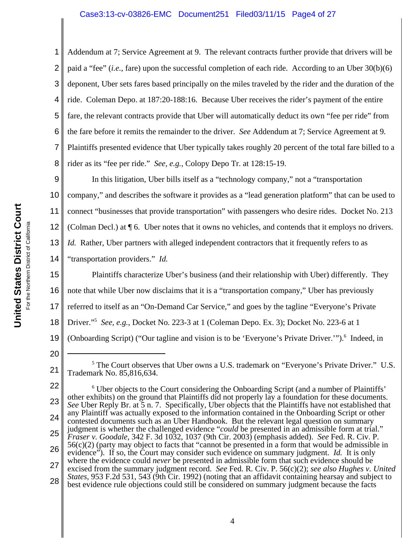## Case3:13-cv-03826-EMC Document251 Filed03/11/15 Page4 of 27

2 3 4 5 6 7 8 Addendum at 7; Service Agreement at 9. The relevant contracts further provide that drivers will be paid a "fee" (*i.e.*, fare) upon the successful completion of each ride. According to an Uber 30(b)(6) deponent, Uber sets fares based principally on the miles traveled by the rider and the duration of the ride. Coleman Depo. at 187:20-188:16. Because Uber receives the rider's payment of the entire fare, the relevant contracts provide that Uber will automatically deduct its own "fee per ride" from the fare before it remits the remainder to the driver. *See* Addendum at 7; Service Agreement at 9*.*  Plaintiffs presented evidence that Uber typically takes roughly 20 percent of the total fare billed to a rider as its "fee per ride." *See, e.g.*, Colopy Depo Tr. at 128:15-19.

9 10 11 12 13 In this litigation, Uber bills itself as a "technology company," not a "transportation company," and describes the software it provides as a "lead generation platform" that can be used to connect "businesses that provide transportation" with passengers who desire rides. Docket No. 213 (Colman Decl.) at ¶ 6. Uber notes that it owns no vehicles, and contends that it employs no drivers. *Id.* Rather, Uber partners with alleged independent contractors that it frequently refers to as

14 "transportation providers." *Id.*

15 16 17 18 19 Plaintiffs characterize Uber's business (and their relationship with Uber) differently. They note that while Uber now disclaims that it is a "transportation company," Uber has previously referred to itself as an "On-Demand Car Service," and goes by the tagline "Everyone's Private Driver."5 *See, e.g.*, Docket No. 223-3 at 1 (Coleman Depo. Ex. 3); Docket No. 223-6 at 1 (Onboarding Script) ("Our tagline and vision is to be 'Everyone's Private Driver."").<sup>6</sup> Indeed, in

20

<sup>21</sup> <sup>5</sup> The Court observes that Uber owns a U.S. trademark on "Everyone's Private Driver." U.S. Trademark No. 85,816,634.

<sup>22</sup> 23 24 25 26 27 28 <sup>6</sup> Uber objects to the Court considering the Onboarding Script (and a number of Plaintiffs' other exhibits) on the ground that Plaintiffs did not properly lay a foundation for these documents. *See* Uber Reply Br. at 5 n. 7. Specifically, Uber objects that the Plaintiffs have not established that any Plaintiff was actually exposed to the information contained in the Onboarding Script or other contested documents such as an Uber Handbook. But the relevant legal question on summary judgment is whether the challenged evidence "*could* be presented in an admissible form at trial." *Fraser v. Goodale*, 342 F. 3d 1032, 1037 (9th Cir. 2003) (emphasis added). *See* Fed. R. Civ. P. 56(c)(2) (party may object to facts that "cannot be presented in a form that would be admissible in evidence"). If so, the Court may consider such evidence on summary judgment. *Id.* It is only where the evidence could *never* be presented in admissible form that such evidence should be excised from the summary judgment record. *See* Fed. R. Civ. P. 56(c)(2); *see also Hughes v. United States*, 953 F.2d 531, 543 (9th Cir. 1992) (noting that an affidavit containing hearsay and subject to best evidence rule objections could still be considered on summary judgment because the facts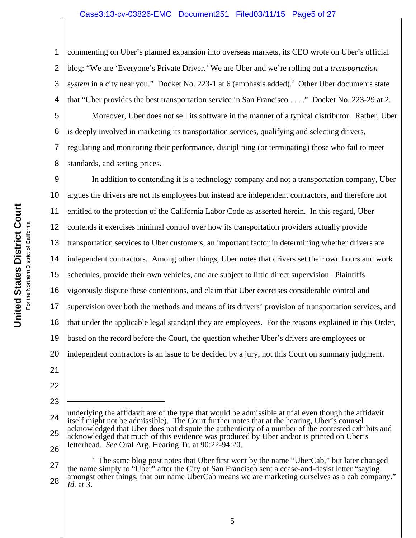## Case3:13-cv-03826-EMC Document251 Filed03/11/15 Page5 of 27

2 3 4 commenting on Uber's planned expansion into overseas markets, its CEO wrote on Uber's official blog: "We are 'Everyone's Private Driver.' We are Uber and we're rolling out a *transportation* system in a city near you." Docket No. 223-1 at 6 (emphasis added).<sup>7</sup> Other Uber documents state that "Uber provides the best transportation service in San Francisco . . . ." Docket No. 223-29 at 2.

5 6 7 8 Moreover, Uber does not sell its software in the manner of a typical distributor. Rather, Uber is deeply involved in marketing its transportation services, qualifying and selecting drivers, regulating and monitoring their performance, disciplining (or terminating) those who fail to meet standards, and setting prices.

9 10 11 12 13 14 15 16 17 18 19 20 21 22 In addition to contending it is a technology company and not a transportation company, Uber argues the drivers are not its employees but instead are independent contractors, and therefore not entitled to the protection of the California Labor Code as asserted herein. In this regard, Uber contends it exercises minimal control over how its transportation providers actually provide transportation services to Uber customers, an important factor in determining whether drivers are independent contractors. Among other things, Uber notes that drivers set their own hours and work schedules, provide their own vehicles, and are subject to little direct supervision. Plaintiffs vigorously dispute these contentions, and claim that Uber exercises considerable control and supervision over both the methods and means of its drivers' provision of transportation services, and that under the applicable legal standard they are employees. For the reasons explained in this Order, based on the record before the Court, the question whether Uber's drivers are employees or independent contractors is an issue to be decided by a jury, not this Court on summary judgment.

23

<sup>24</sup> 25 26 underlying the affidavit are of the type that would be admissible at trial even though the affidavit itself might not be admissible). The Court further notes that at the hearing, Uber's counsel acknowledged that Uber does not dispute the authenticity of a number of the contested exhibits and acknowledged that much of this evidence was produced by Uber and/or is printed on Uber's letterhead. *See* Oral Arg. Hearing Tr. at 90:22-94:20.

<sup>27</sup> 28  $7$  The same blog post notes that Uber first went by the name "UberCab," but later changed the name simply to "Uber" after the City of San Francisco sent a cease-and-desist letter "saying amongst other things, that our name UberCab means we are marketing ourselves as a cab company." *Id.* at 3.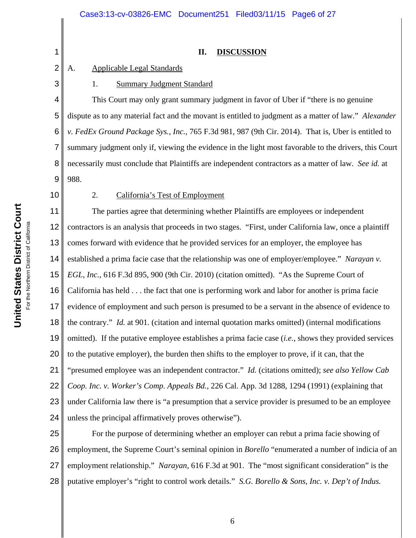#### **II. DISCUSSION**

### A. Applicable Legal Standards

### 1. Summary Judgment Standard

4 5 6 7 8 9 This Court may only grant summary judgment in favor of Uber if "there is no genuine dispute as to any material fact and the movant is entitled to judgment as a matter of law." *Alexander v. FedEx Ground Package Sys., Inc.*, 765 F.3d 981, 987 (9th Cir. 2014). That is, Uber is entitled to summary judgment only if, viewing the evidence in the light most favorable to the drivers, this Court necessarily must conclude that Plaintiffs are independent contractors as a matter of law. *See id.* at 988.

10

1

2

3

# 2. California's Test of Employment

11 12 13 14 15 16 17 18 19 20 21 22 23 24 The parties agree that determining whether Plaintiffs are employees or independent contractors is an analysis that proceeds in two stages. "First, under California law, once a plaintiff comes forward with evidence that he provided services for an employer, the employee has established a prima facie case that the relationship was one of employer/employee." *Narayan v. EGL, Inc.*, 616 F.3d 895, 900 (9th Cir. 2010) (citation omitted). "As the Supreme Court of California has held . . . the fact that one is performing work and labor for another is prima facie evidence of employment and such person is presumed to be a servant in the absence of evidence to the contrary." *Id.* at 901*.* (citation and internal quotation marks omitted) (internal modifications omitted). If the putative employee establishes a prima facie case (*i.e.*, shows they provided services to the putative employer), the burden then shifts to the employer to prove, if it can, that the "presumed employee was an independent contractor." *Id.* (citations omitted); *see also Yellow Cab Coop. Inc. v. Worker's Comp. Appeals Bd.*, 226 Cal. App. 3d 1288, 1294 (1991) (explaining that under California law there is "a presumption that a service provider is presumed to be an employee unless the principal affirmatively proves otherwise").

25 26 27 28 For the purpose of determining whether an employer can rebut a prima facie showing of employment, the Supreme Court's seminal opinion in *Borello* "enumerated a number of indicia of an employment relationship." *Narayan*, 616 F.3d at 901. The "most significant consideration" is the putative employer's "right to control work details." *S.G. Borello & Sons, Inc. v. Dep't of Indus.*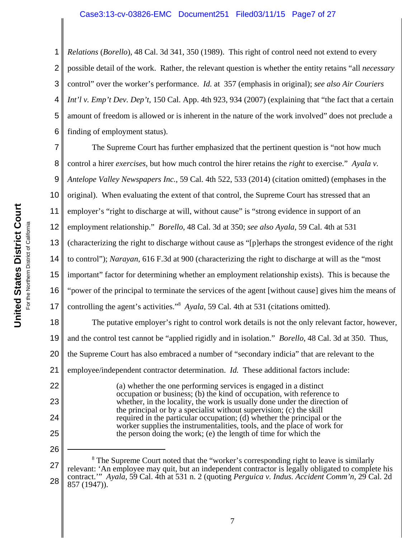## Case3:13-cv-03826-EMC Document251 Filed03/11/15 Page7 of 27

1 2 3 4 5 6 *Relations* (*Borello*), 48 Cal. 3d 341, 350 (1989). This right of control need not extend to every possible detail of the work. Rather, the relevant question is whether the entity retains "all *necessary* control" over the worker's performance. *Id.* at 357 (emphasis in original); *see also Air Couriers Int'l v. Emp't Dev. Dep't*, 150 Cal. App. 4th 923, 934 (2007) (explaining that "the fact that a certain amount of freedom is allowed or is inherent in the nature of the work involved" does not preclude a finding of employment status).

7 8 9 10 11 12 13 14 15 16 17 18 19 20 The Supreme Court has further emphasized that the pertinent question is "not how much control a hirer *exercises*, but how much control the hirer retains the *right* to exercise." *Ayala v. Antelope Valley Newspapers Inc.*, 59 Cal. 4th 522, 533 (2014) (citation omitted) (emphases in the original). When evaluating the extent of that control, the Supreme Court has stressed that an employer's "right to discharge at will, without cause" is "strong evidence in support of an employment relationship." *Borello*, 48 Cal. 3d at 350; *see also Ayala*, 59 Cal. 4th at 531 (characterizing the right to discharge without cause as "[p]erhaps the strongest evidence of the right to control"); *Narayan*, 616 F.3d at 900 (characterizing the right to discharge at will as the "most important" factor for determining whether an employment relationship exists). This is because the "power of the principal to terminate the services of the agent [without cause] gives him the means of controlling the agent's activities."<sup>8</sup> *Ayala*, 59 Cal. 4th at 531 (citations omitted). The putative employer's right to control work details is not the only relevant factor, however, and the control test cannot be "applied rigidly and in isolation." *Borello*, 48 Cal. 3d at 350. Thus, the Supreme Court has also embraced a number of "secondary indicia" that are relevant to the

21 employee/independent contractor determination. *Id.* These additional factors include:

> (a) whether the one performing services is engaged in a distinct occupation or business; (b) the kind of occupation, with reference to whether, in the locality, the work is usually done under the direction of the principal or by a specialist without supervision; (c) the skill required in the particular occupation; (d) whether the principal or the worker supplies the instrumentalities, tools, and the place of work for the person doing the work; (e) the length of time for which the

22

23

24

25

26

<sup>27</sup> 28 <sup>8</sup> The Supreme Court noted that the "worker's corresponding right to leave is similarly relevant: 'An employee may quit, but an independent contractor is legally obligated to complete his contract.'" *Ayala*, 59 Cal. 4th at 531 n. 2 (quoting *Perguica v. Indus. Accident Comm'n*, 29 Cal. 2d 857 (1947)).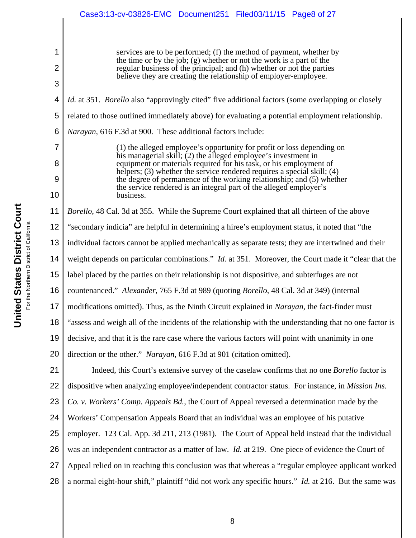services are to be performed; (f) the method of payment, whether by the time or by the job; (g) whether or not the work is a part of the regular business of the principal; and (h) whether or not the parties believe they are creating the relationship of employer-employee.

4 5 6 7 *Id.* at 351. *Borello* also "approvingly cited" five additional factors (some overlapping or closely related to those outlined immediately above) for evaluating a potential employment relationship. *Narayan*, 616 F.3d at 900. These additional factors include:

(1) the alleged employee's opportunity for profit or loss depending on his managerial skill; (2) the alleged employee's investment in equipment or materials required for his task, or his employment of helpers; (3) whether the service rendered requires a special skill; (4) the degree of permanence of the working relationship; and (5) whether the service rendered is an integral part of the alleged employer's business.

11 *Borello*, 48 Cal. 3d at 355. While the Supreme Court explained that all thirteen of the above

12 "secondary indicia" are helpful in determining a hiree's employment status, it noted that "the

13 individual factors cannot be applied mechanically as separate tests; they are intertwined and their

14 weight depends on particular combinations." *Id.* at 351. Moreover, the Court made it "clear that the

15 label placed by the parties on their relationship is not dispositive, and subterfuges are not

16 countenanced." *Alexander*, 765 F.3d at 989 (quoting *Borello*, 48 Cal. 3d at 349) (internal

17 modifications omitted). Thus, as the Ninth Circuit explained in *Narayan*, the fact-finder must

18 "assess and weigh all of the incidents of the relationship with the understanding that no one factor is

19 decisive, and that it is the rare case where the various factors will point with unanimity in one

20 direction or the other." *Narayan*, 616 F.3d at 901 (citation omitted).

21 22 23 24 25 26 27 28 Indeed, this Court's extensive survey of the caselaw confirms that no one *Borello* factor is dispositive when analyzing employee/independent contractor status. For instance, in *Mission Ins. Co. v. Workers' Comp. Appeals Bd.*, the Court of Appeal reversed a determination made by the Workers' Compensation Appeals Board that an individual was an employee of his putative employer. 123 Cal. App. 3d 211, 213 (1981). The Court of Appeal held instead that the individual was an independent contractor as a matter of law. *Id.* at 219. One piece of evidence the Court of Appeal relied on in reaching this conclusion was that whereas a "regular employee applicant worked a normal eight-hour shift," plaintiff "did not work any specific hours." *Id.* at 216. But the same was

1

2

3

8

9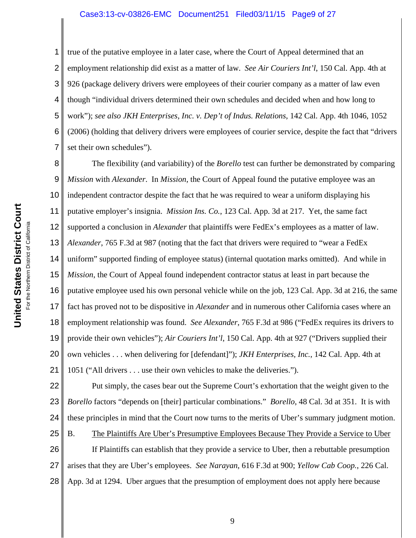### Case3:13-cv-03826-EMC Document251 Filed03/11/15 Page9 of 27

1 2 3 4 5 6 7 true of the putative employee in a later case, where the Court of Appeal determined that an employment relationship did exist as a matter of law. *See Air Couriers Int'l*, 150 Cal. App. 4th at 926 (package delivery drivers were employees of their courier company as a matter of law even though "individual drivers determined their own schedules and decided when and how long to work"); *see also JKH Enterprises, Inc. v. Dep't of Indus. Relations*, 142 Cal. App. 4th 1046, 1052 (2006) (holding that delivery drivers were employees of courier service, despite the fact that "drivers set their own schedules").

8 9 10 11 12 13 14 15 16 17 18 19 20 21 The flexibility (and variability) of the *Borello* test can further be demonstrated by comparing *Mission* with *Alexander*. In *Mission*, the Court of Appeal found the putative employee was an independent contractor despite the fact that he was required to wear a uniform displaying his putative employer's insignia. *Mission Ins. Co.*, 123 Cal. App. 3d at 217. Yet, the same fact supported a conclusion in *Alexander* that plaintiffs were FedEx's employees as a matter of law. *Alexander*, 765 F.3d at 987 (noting that the fact that drivers were required to "wear a FedEx uniform" supported finding of employee status) (internal quotation marks omitted). And while in *Mission*, the Court of Appeal found independent contractor status at least in part because the putative employee used his own personal vehicle while on the job, 123 Cal. App. 3d at 216, the same fact has proved not to be dispositive in *Alexander* and in numerous other California cases where an employment relationship was found. *See Alexander*, 765 F.3d at 986 ("FedEx requires its drivers to provide their own vehicles"); *Air Couriers Int'l*, 150 Cal. App. 4th at 927 ("Drivers supplied their own vehicles . . . when delivering for [defendant]"); *JKH Enterprises, Inc.*, 142 Cal. App. 4th at 1051 ("All drivers . . . use their own vehicles to make the deliveries.").

22 23 24 25 26 Put simply, the cases bear out the Supreme Court's exhortation that the weight given to the *Borello* factors "depends on [their] particular combinations." *Borello*, 48 Cal. 3d at 351. It is with these principles in mind that the Court now turns to the merits of Uber's summary judgment motion. B. The Plaintiffs Are Uber's Presumptive Employees Because They Provide a Service to Uber If Plaintiffs can establish that they provide a service to Uber, then a rebuttable presumption

27 28 arises that they are Uber's employees. *See Narayan*, 616 F.3d at 900; *Yellow Cab Coop.*, 226 Cal. App. 3d at 1294. Uber argues that the presumption of employment does not apply here because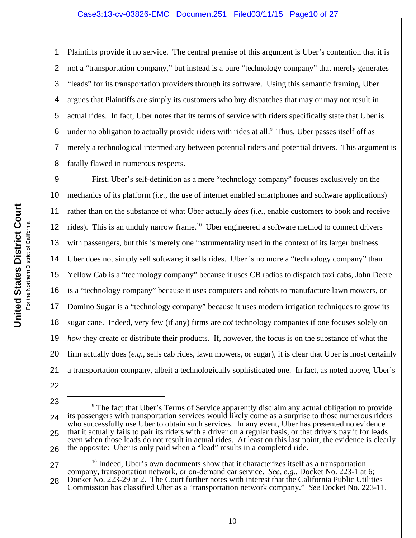#### Case3:13-cv-03826-EMC Document251 Filed03/11/15 Page10 of 27

1 2 3 4 5 6 7 8 Plaintiffs provide it no service. The central premise of this argument is Uber's contention that it is not a "transportation company," but instead is a pure "technology company" that merely generates "leads" for its transportation providers through its software. Using this semantic framing, Uber argues that Plaintiffs are simply its customers who buy dispatches that may or may not result in actual rides. In fact, Uber notes that its terms of service with riders specifically state that Uber is under no obligation to actually provide riders with rides at all.<sup>9</sup> Thus, Uber passes itself off as merely a technological intermediary between potential riders and potential drivers. This argument is fatally flawed in numerous respects.

9 10 11 12 13 14 15 16 17 18 19 20 21 First, Uber's self-definition as a mere "technology company" focuses exclusively on the mechanics of its platform (*i.e.*, the use of internet enabled smartphones and software applications) rather than on the substance of what Uber actually *does* (*i.e.*, enable customers to book and receive rides). This is an unduly narrow frame.<sup>10</sup> Uber engineered a software method to connect drivers with passengers, but this is merely one instrumentality used in the context of its larger business. Uber does not simply sell software; it sells rides. Uber is no more a "technology company" than Yellow Cab is a "technology company" because it uses CB radios to dispatch taxi cabs, John Deere is a "technology company" because it uses computers and robots to manufacture lawn mowers, or Domino Sugar is a "technology company" because it uses modern irrigation techniques to grow its sugar cane. Indeed, very few (if any) firms are *not* technology companies if one focuses solely on *how* they create or distribute their products. If, however, the focus is on the substance of what the firm actually does (*e.g.*, sells cab rides, lawn mowers, or sugar), it is clear that Uber is most certainly a transportation company, albeit a technologically sophisticated one. In fact, as noted above, Uber's

<sup>23</sup> 24 25 26 <sup>9</sup> The fact that Uber's Terms of Service apparently disclaim any actual obligation to provide its passengers with transportation services would likely come as a surprise to those numerous riders who successfully use Uber to obtain such services. In any event, Uber has presented no evidence that it actually fails to pair its riders with a driver on a regular basis, or that drivers pay it for leads even when those leads do not result in actual rides. At least on this last point, the evidence is clearly the opposite: Uber is only paid when a "lead" results in a completed ride.

<sup>27</sup> 28  $10$  Indeed, Uber's own documents show that it characterizes itself as a transportation company, transportation network, or on-demand car service. *See, e.g.*, Docket No. 223-1 at 6; Docket No. 223-29 at 2. The Court further notes with interest that the California Public Utilities Commission has classified Uber as a "transportation network company." *See* Docket No. 223-11.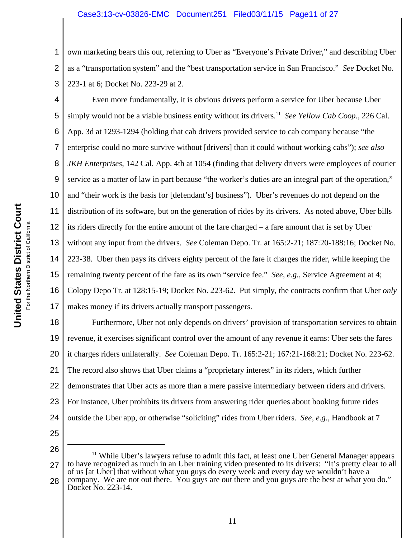#### Case3:13-cv-03826-EMC Document251 Filed03/11/15 Page11 of 27

1 2 3 own marketing bears this out, referring to Uber as "Everyone's Private Driver," and describing Uber as a "transportation system" and the "best transportation service in San Francisco." *See* Docket No. 223-1 at 6; Docket No. 223-29 at 2.

4 5 6 7 8 9 10 11 12 13 14 15 16 17 Even more fundamentally, it is obvious drivers perform a service for Uber because Uber simply would not be a viable business entity without its drivers.<sup>11</sup> *See Yellow Cab Coop.*, 226 Cal. App. 3d at 1293-1294 (holding that cab drivers provided service to cab company because "the enterprise could no more survive without [drivers] than it could without working cabs"); *see also JKH Enterprises*, 142 Cal. App. 4th at 1054 (finding that delivery drivers were employees of courier service as a matter of law in part because "the worker's duties are an integral part of the operation," and "their work is the basis for [defendant's] business"). Uber's revenues do not depend on the distribution of its software, but on the generation of rides by its drivers. As noted above, Uber bills its riders directly for the entire amount of the fare charged – a fare amount that is set by Uber without any input from the drivers. *See* Coleman Depo. Tr. at 165:2-21; 187:20-188:16; Docket No. 223-38. Uber then pays its drivers eighty percent of the fare it charges the rider, while keeping the remaining twenty percent of the fare as its own "service fee." *See, e.g.*, Service Agreement at 4; Colopy Depo Tr. at 128:15-19; Docket No. 223-62. Put simply, the contracts confirm that Uber *only* makes money if its drivers actually transport passengers.

18 19 20 21 22 23 24 25 Furthermore, Uber not only depends on drivers' provision of transportation services to obtain revenue, it exercises significant control over the amount of any revenue it earns: Uber sets the fares it charges riders unilaterally. *See* Coleman Depo. Tr. 165:2-21; 167:21-168:21; Docket No. 223-62. The record also shows that Uber claims a "proprietary interest" in its riders, which further demonstrates that Uber acts as more than a mere passive intermediary between riders and drivers. For instance, Uber prohibits its drivers from answering rider queries about booking future rides outside the Uber app, or otherwise "soliciting" rides from Uber riders. *See, e.g.*, Handbook at 7

26

27 28  $11$  While Uber's lawyers refuse to admit this fact, at least one Uber General Manager appears to have recognized as much in an Uber training video presented to its drivers: "It's pretty clear to all of us [at Uber] that without what you guys do every week and every day we wouldn't have a company. We are not out there. You guys are out there and you guys are the best at what you do." Docket No. 223-14.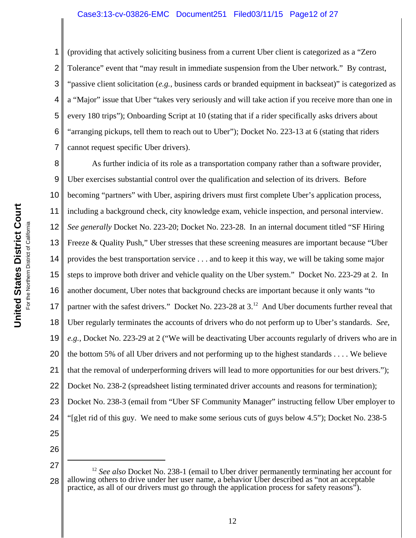#### Case3:13-cv-03826-EMC Document251 Filed03/11/15 Page12 of 27

1

2 3 4 5 6 7 (providing that actively soliciting business from a current Uber client is categorized as a "Zero Tolerance" event that "may result in immediate suspension from the Uber network." By contrast, "passive client solicitation (*e.g.*, business cards or branded equipment in backseat)" is categorized as a "Major" issue that Uber "takes very seriously and will take action if you receive more than one in every 180 trips"); Onboarding Script at 10 (stating that if a rider specifically asks drivers about "arranging pickups, tell them to reach out to Uber"); Docket No. 223-13 at 6 (stating that riders cannot request specific Uber drivers).

8 9 10 11 12 13 14 15 16 17 18 19 20 21 22 23 24 25 As further indicia of its role as a transportation company rather than a software provider, Uber exercises substantial control over the qualification and selection of its drivers. Before becoming "partners" with Uber, aspiring drivers must first complete Uber's application process, including a background check, city knowledge exam, vehicle inspection, and personal interview. *See generally* Docket No. 223-20; Docket No. 223-28. In an internal document titled "SF Hiring Freeze & Quality Push," Uber stresses that these screening measures are important because "Uber provides the best transportation service . . . and to keep it this way, we will be taking some major steps to improve both driver and vehicle quality on the Uber system." Docket No. 223-29 at 2. In another document, Uber notes that background checks are important because it only wants "to partner with the safest drivers." Docket No. 223-28 at 3.<sup>12</sup> And Uber documents further reveal that Uber regularly terminates the accounts of drivers who do not perform up to Uber's standards. *See, e.g.*, Docket No. 223-29 at 2 ("We will be deactivating Uber accounts regularly of drivers who are in the bottom 5% of all Uber drivers and not performing up to the highest standards . . . . We believe that the removal of underperforming drivers will lead to more opportunities for our best drivers."); Docket No. 238-2 (spreadsheet listing terminated driver accounts and reasons for termination); Docket No. 238-3 (email from "Uber SF Community Manager" instructing fellow Uber employer to "[g]et rid of this guy. We need to make some serious cuts of guys below 4.5"); Docket No. 238-5

<sup>27</sup> 28 <sup>12</sup> *See also* Docket No. 238-1 (email to Uber driver permanently terminating her account for allowing others to drive under her user name, a behavior Uber described as "not an acceptable practice, as all of our drivers must go through the application process for safety reasons").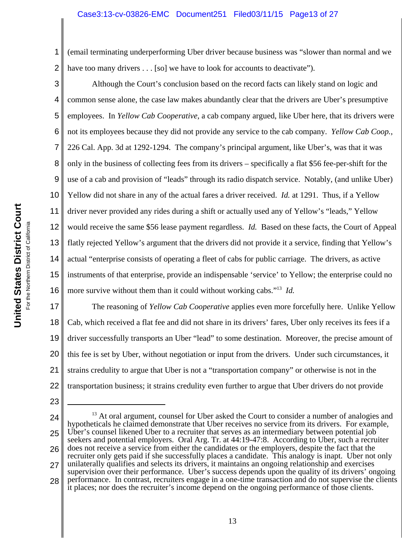### Case3:13-cv-03826-EMC Document251 Filed03/11/15 Page13 of 27

1 2 (email terminating underperforming Uber driver because business was "slower than normal and we have too many drivers  $\dots$  [so] we have to look for accounts to deactivate").

3 4 5 6 7 8 9 10 11 12 13 14 15 16 Although the Court's conclusion based on the record facts can likely stand on logic and common sense alone, the case law makes abundantly clear that the drivers are Uber's presumptive employees. In *Yellow Cab Cooperative*, a cab company argued, like Uber here, that its drivers were not its employees because they did not provide any service to the cab company. *Yellow Cab Coop.*, 226 Cal. App. 3d at 1292-1294. The company's principal argument, like Uber's, was that it was only in the business of collecting fees from its drivers – specifically a flat \$56 fee-per-shift for the use of a cab and provision of "leads" through its radio dispatch service. Notably, (and unlike Uber) Yellow did not share in any of the actual fares a driver received. *Id.* at 1291. Thus, if a Yellow driver never provided any rides during a shift or actually used any of Yellow's "leads," Yellow would receive the same \$56 lease payment regardless. *Id.* Based on these facts, the Court of Appeal flatly rejected Yellow's argument that the drivers did not provide it a service, finding that Yellow's actual "enterprise consists of operating a fleet of cabs for public carriage. The drivers, as active instruments of that enterprise, provide an indispensable 'service' to Yellow; the enterprise could no more survive without them than it could without working cabs."13 *Id.*

17 18 19 20 21 22 The reasoning of *Yellow Cab Cooperative* applies even more forcefully here. Unlike Yellow Cab, which received a flat fee and did not share in its drivers' fares, Uber only receives its fees if a driver successfully transports an Uber "lead" to some destination. Moreover, the precise amount of this fee is set by Uber, without negotiation or input from the drivers. Under such circumstances, it strains credulity to argue that Uber is not a "transportation company" or otherwise is not in the transportation business; it strains credulity even further to argue that Uber drivers do not provide

- 23
- 24

25 26 27  $13$  At oral argument, counsel for Uber asked the Court to consider a number of analogies and hypotheticals he claimed demonstrate that Uber receives no service from its drivers. For example, Uber's counsel likened Uber to a recruiter that serves as an intermediary between potential job seekers and potential employers. Oral Arg. Tr. at 44:19-47:8. According to Uber, such a recruiter does not receive a service from either the candidates or the employers, despite the fact that the recruiter only gets paid if she successfully places a candidate. This analogy is inapt. Uber not only unilaterally qualifies and selects its drivers, it maintains an ongoing relationship and exercises supervision over their performance. Uber's success depends upon the quality of its drivers' ongoing

28 performance. In contrast, recruiters engage in a one-time transaction and do not supervise the clients it places; nor does the recruiter's income depend on the ongoing performance of those clients.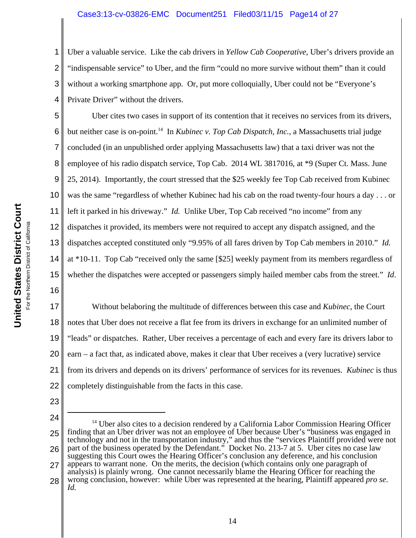#### Case3:13-cv-03826-EMC Document251 Filed03/11/15 Page14 of 27

2 3 4 Uber a valuable service. Like the cab drivers in *Yellow Cab Cooperative*, Uber's drivers provide an "indispensable service" to Uber, and the firm "could no more survive without them" than it could without a working smartphone app. Or, put more colloquially, Uber could not be "Everyone's Private Driver" without the drivers.

5 6 7 8 9 10 11 12 13 14 15 16 Uber cites two cases in support of its contention that it receives no services from its drivers, but neither case is on-point.<sup>14</sup> In *Kubinec v. Top Cab Dispatch, Inc.*, a Massachusetts trial judge concluded (in an unpublished order applying Massachusetts law) that a taxi driver was not the employee of his radio dispatch service, Top Cab. 2014 WL 3817016, at \*9 (Super Ct. Mass. June 25, 2014). Importantly, the court stressed that the \$25 weekly fee Top Cab received from Kubinec was the same "regardless of whether Kubinec had his cab on the road twenty-four hours a day . . . or left it parked in his driveway." *Id.* Unlike Uber, Top Cab received "no income" from any dispatches it provided, its members were not required to accept any dispatch assigned, and the dispatches accepted constituted only "9.95% of all fares driven by Top Cab members in 2010." *Id.* at \*10-11. Top Cab "received only the same [\$25] weekly payment from its members regardless of whether the dispatches were accepted or passengers simply hailed member cabs from the street." *Id*.

17 18 19 20 21 22 Without belaboring the multitude of differences between this case and *Kubinec*, the Court notes that Uber does not receive a flat fee from its drivers in exchange for an unlimited number of "leads" or dispatches. Rather, Uber receives a percentage of each and every fare its drivers labor to earn – a fact that, as indicated above, makes it clear that Uber receives a (very lucrative) service from its drivers and depends on its drivers' performance of services for its revenues. *Kubinec* is thus completely distinguishable from the facts in this case.

23

1

24 25 26 27 28  $14$  Uber also cites to a decision rendered by a California Labor Commission Hearing Officer finding that an Uber driver was not an employee of Uber because Uber's "business was engaged in technology and not in the transportation industry," and thus the "services Plaintiff provided were not part of the business operated by the Defendant." Docket No. 213-7 at 5. Uber cites no case law suggesting this Court owes the Hearing Officer's conclusion any deference, and his conclusion appears to warrant none. On the merits, the decision (which contains only one paragraph of analysis) is plainly wrong. One cannot necessarily blame the Hearing Officer for reaching the wrong conclusion, however: while Uber was represented at the hearing, Plaintiff appeared *pro se*. *Id.*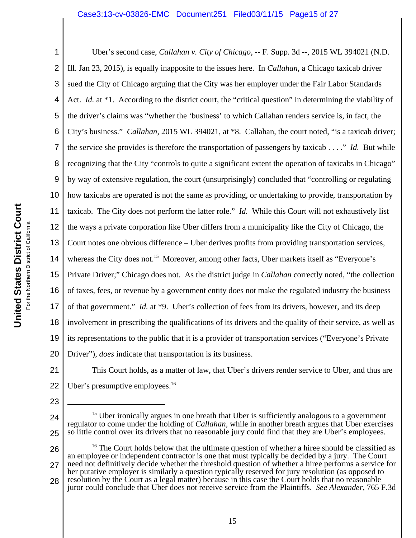### Case3:13-cv-03826-EMC Document251 Filed03/11/15 Page15 of 27

1 2 3 4 5 6 7 8 9 10 11 12 13 14 15 16 17 18 19 20 Uber's second case, *Callahan v. City of Chicago*, -- F. Supp. 3d --, 2015 WL 394021 (N.D. Ill. Jan 23, 2015), is equally inapposite to the issues here. In *Callahan*, a Chicago taxicab driver sued the City of Chicago arguing that the City was her employer under the Fair Labor Standards Act. *Id.* at \*1. According to the district court, the "critical question" in determining the viability of the driver's claims was "whether the 'business' to which Callahan renders service is, in fact, the City's business." *Callahan*, 2015 WL 394021, at \*8. Callahan, the court noted, "is a taxicab driver; the service she provides is therefore the transportation of passengers by taxicab . . . ." *Id.* But while recognizing that the City "controls to quite a significant extent the operation of taxicabs in Chicago" by way of extensive regulation, the court (unsurprisingly) concluded that "controlling or regulating how taxicabs are operated is not the same as providing, or undertaking to provide, transportation by taxicab. The City does not perform the latter role." *Id.* While this Court will not exhaustively list the ways a private corporation like Uber differs from a municipality like the City of Chicago, the Court notes one obvious difference – Uber derives profits from providing transportation services, whereas the City does not.<sup>15</sup> Moreover, among other facts, Uber markets itself as "Everyone's Private Driver;" Chicago does not. As the district judge in *Callahan* correctly noted, "the collection of taxes, fees, or revenue by a government entity does not make the regulated industry the business of that government." *Id.* at \*9. Uber's collection of fees from its drivers, however, and its deep involvement in prescribing the qualifications of its drivers and the quality of their service, as well as its representations to the public that it is a provider of transportation services ("Everyone's Private Driver"), *does* indicate that transportation is its business.

21 22 This Court holds, as a matter of law, that Uber's drivers render service to Uber, and thus are Uber's presumptive employees.<sup>16</sup>

- 23
- 24

26

<sup>15</sup> Uber ironically argues in one breath that Uber is sufficiently analogous to a government regulator to come under the holding of *Callahan*, while in another breath argues that Uber exercises so little control over its drivers that no reasonable jury could find that they are Uber's employees.

<sup>25</sup>

<sup>27</sup> 28  $16$  The Court holds below that the ultimate question of whether a hiree should be classified as an employee or independent contractor is one that must typically be decided by a jury. The Court need not definitively decide whether the threshold question of whether a hiree performs a service for her putative employer is similarly a question typically reserved for jury resolution (as opposed to resolution by the Court as a legal matter) because in this case the Court holds that no reasonable juror could conclude that Uber does not receive service from the Plaintiffs. *See Alexander*, 765 F.3d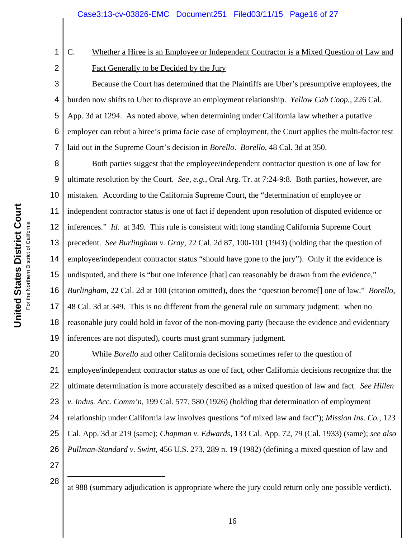C. Whether a Hiree is an Employee or Independent Contractor is a Mixed Question of Law and Fact Generally to be Decided by the Jury

Because the Court has determined that the Plaintiffs are Uber's presumptive employees, the burden now shifts to Uber to disprove an employment relationship. *Yellow Cab Coop.*, 226 Cal. App. 3d at 1294. As noted above, when determining under California law whether a putative employer can rebut a hiree's prima facie case of employment, the Court applies the multi-factor test laid out in the Supreme Court's decision in *Borello*. *Borello*, 48 Cal. 3d at 350.

8 9 10 11 12 13 14 15 16 17 18 19 Both parties suggest that the employee/independent contractor question is one of law for ultimate resolution by the Court. *See, e.g.*, Oral Arg. Tr. at 7:24-9:8. Both parties, however, are mistaken. According to the California Supreme Court, the "determination of employee or independent contractor status is one of fact if dependent upon resolution of disputed evidence or inferences." *Id.* at 349*.* This rule is consistent with long standing California Supreme Court precedent. *See Burlingham v. Gray*, 22 Cal. 2d 87, 100-101 (1943) (holding that the question of employee/independent contractor status "should have gone to the jury"). Only if the evidence is undisputed, and there is "but one inference [that] can reasonably be drawn from the evidence," *Burlingham*, 22 Cal. 2d at 100 (citation omitted), does the "question become[] one of law." *Borello*, 48 Cal. 3d at 349. This is no different from the general rule on summary judgment: when no reasonable jury could hold in favor of the non-moving party (because the evidence and evidentiary inferences are not disputed), courts must grant summary judgment.

20 21 22 23 24 25 26 While *Borello* and other California decisions sometimes refer to the question of employee/independent contractor status as one of fact, other California decisions recognize that the ultimate determination is more accurately described as a mixed question of law and fact. *See Hillen v. Indus. Acc. Comm'n*, 199 Cal. 577, 580 (1926) (holding that determination of employment relationship under California law involves questions "of mixed law and fact"); *Mission Ins. Co.*, 123 Cal. App. 3d at 219 (same); *Chapman v. Edwards*, 133 Cal. App. 72, 79 (Cal. 1933) (same); *see also Pullman-Standard v. Swint*, 456 U.S. 273, 289 n. 19 (1982) (defining a mixed question of law and

27 28

1

2

3

4

5

6

at 988 (summary adjudication is appropriate where the jury could return only one possible verdict).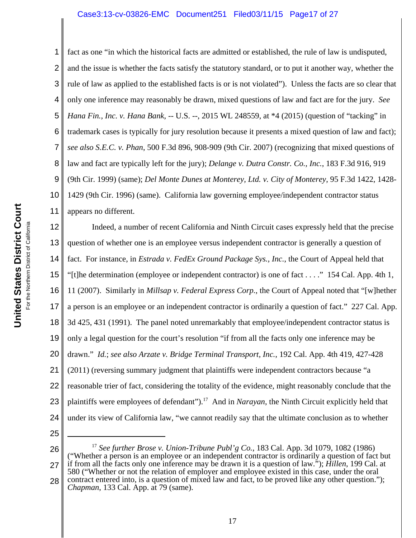### Case3:13-cv-03826-EMC Document251 Filed03/11/15 Page17 of 27

1 2 3 4 5 6 7 8 9 10 11 fact as one "in which the historical facts are admitted or established, the rule of law is undisputed, and the issue is whether the facts satisfy the statutory standard, or to put it another way, whether the rule of law as applied to the established facts is or is not violated"). Unless the facts are so clear that only one inference may reasonably be drawn, mixed questions of law and fact are for the jury. *See Hana Fin., Inc. v. Hana Bank*, -- U.S. --, 2015 WL 248559, at \*4 (2015) (question of "tacking" in trademark cases is typically for jury resolution because it presents a mixed question of law and fact); *see also S.E.C. v. Phan*, 500 F.3d 896, 908-909 (9th Cir. 2007) (recognizing that mixed questions of law and fact are typically left for the jury); *Delange v. Dutra Constr. Co., Inc.*, 183 F.3d 916, 919 (9th Cir. 1999) (same); *Del Monte Dunes at Monterey, Ltd. v. City of Monterey*, 95 F.3d 1422, 1428- 1429 (9th Cir. 1996) (same). California law governing employee/independent contractor status appears no different.

12 13 14 15 16 17 18 19 20 21 22 23 24 Indeed, a number of recent California and Ninth Circuit cases expressly held that the precise question of whether one is an employee versus independent contractor is generally a question of fact. For instance, in *Estrada v. FedEx Ground Package Sys., Inc.*, the Court of Appeal held that "[t]he determination (employee or independent contractor) is one of fact . . . ." 154 Cal. App. 4th 1, 11 (2007). Similarly in *Millsap v. Federal Express Corp.*, the Court of Appeal noted that "[w]hether a person is an employee or an independent contractor is ordinarily a question of fact." 227 Cal. App. 3d 425, 431 (1991). The panel noted unremarkably that employee/independent contractor status is only a legal question for the court's resolution "if from all the facts only one inference may be drawn." *Id.*; *see also Arzate v. Bridge Terminal Transport, Inc.*, 192 Cal. App. 4th 419, 427-428 (2011) (reversing summary judgment that plaintiffs were independent contractors because "a reasonable trier of fact, considering the totality of the evidence, might reasonably conclude that the plaintiffs were employees of defendant").17 And in *Narayan*, the Ninth Circuit explicitly held that under its view of California law, "we cannot readily say that the ultimate conclusion as to whether

25

26 27 28 <sup>17</sup> *See further Brose v. Union-Tribune Publ'g Co.*, 183 Cal. App. 3d 1079, 1082 (1986) ("Whether a person is an employee or an independent contractor is ordinarily a question of fact but if from all the facts only one inference may be drawn it is a question of law."); *Hillen*, 199 Cal. at 580 ("Whether or not the relation of employer and employee existed in this case, under the oral contract entered into, is a question of mixed law and fact, to be proved like any other question."); *Chapman*, 133 Cal. App. at 79 (same).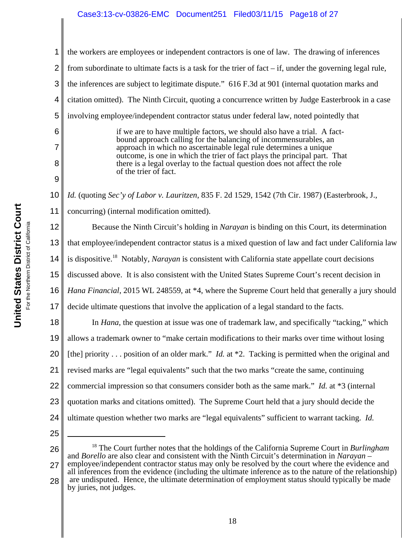## Case3:13-cv-03826-EMC Document251 Filed03/11/15 Page18 of 27

6

7

8

9

1 2 3 4 5 the workers are employees or independent contractors is one of law. The drawing of inferences from subordinate to ultimate facts is a task for the trier of fact  $-$  if, under the governing legal rule, the inferences are subject to legitimate dispute." 616 F.3d at 901 (internal quotation marks and citation omitted). The Ninth Circuit, quoting a concurrence written by Judge Easterbrook in a case involving employee/independent contractor status under federal law, noted pointedly that

> if we are to have multiple factors, we should also have a trial. A factbound approach calling for the balancing of incommensurables, an approach in which no ascertainable legal rule determines a unique outcome, is one in which the trier of fact plays the principal part. That there is a legal overlay to the factual question does not affect the role of the trier of fact.

10 11 *Id.* (quoting *Sec'y of Labor v. Lauritzen*, 835 F. 2d 1529, 1542 (7th Cir. 1987) (Easterbrook, J., concurring) (internal modification omitted).

12 13 14 15 16 17 18 Because the Ninth Circuit's holding in *Narayan* is binding on this Court, its determination that employee/independent contractor status is a mixed question of law and fact under California law is dispositive.18 Notably, *Narayan* is consistent with California state appellate court decisions discussed above. It is also consistent with the United States Supreme Court's recent decision in *Hana Financial*, 2015 WL 248559, at \*4, where the Supreme Court held that generally a jury should decide ultimate questions that involve the application of a legal standard to the facts. In *Hana*, the question at issue was one of trademark law, and specifically "tacking," which

19 20 21 22 23 24 allows a trademark owner to "make certain modifications to their marks over time without losing [the] priority . . . position of an older mark." *Id.* at \*2. Tacking is permitted when the original and revised marks are "legal equivalents" such that the two marks "create the same, continuing commercial impression so that consumers consider both as the same mark." *Id.* at \*3 (internal quotation marks and citations omitted). The Supreme Court held that a jury should decide the ultimate question whether two marks are "legal equivalents" sufficient to warrant tacking. *Id.* 

25

26 27 18 The Court further notes that the holdings of the California Supreme Court in *Burlingham* and *Borello* are also clear and consistent with the Ninth Circuit's determination in *Narayan* – employee/independent contractor status may only be resolved by the court where the evidence and all inferences from the evidence (including the ultimate inference as to the nature of the relationship) are undisputed. Hence, the ultimate determination of employment status should typically be made

28 by juries, not judges.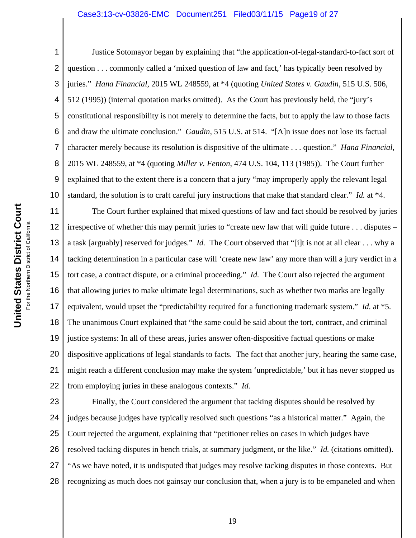#### Case3:13-cv-03826-EMC Document251 Filed03/11/15 Page19 of 27

1 2 3 4 5 6 7 8 9 10 Justice Sotomayor began by explaining that "the application-of-legal-standard-to-fact sort of question . . . commonly called a 'mixed question of law and fact,' has typically been resolved by juries." *Hana Financial*, 2015 WL 248559, at \*4 (quoting *United States v. Gaudin*, 515 U.S. 506, 512 (1995)) (internal quotation marks omitted). As the Court has previously held, the "jury's constitutional responsibility is not merely to determine the facts, but to apply the law to those facts and draw the ultimate conclusion." *Gaudin*, 515 U.S. at 514. "[A]n issue does not lose its factual character merely because its resolution is dispositive of the ultimate . . . question." *Hana Financial*, 2015 WL 248559, at \*4 (quoting *Miller v. Fenton*, 474 U.S. 104, 113 (1985)). The Court further explained that to the extent there is a concern that a jury "may improperly apply the relevant legal standard, the solution is to craft careful jury instructions that make that standard clear." *Id.* at \*4.

11 12 13 14 15 16 17 18 19 20 21 22 The Court further explained that mixed questions of law and fact should be resolved by juries irrespective of whether this may permit juries to "create new law that will guide future . . . disputes – a task [arguably] reserved for judges." *Id.* The Court observed that "[i]t is not at all clear . . . why a tacking determination in a particular case will 'create new law' any more than will a jury verdict in a tort case, a contract dispute, or a criminal proceeding." *Id.* The Court also rejected the argument that allowing juries to make ultimate legal determinations, such as whether two marks are legally equivalent, would upset the "predictability required for a functioning trademark system." *Id.* at \*5. The unanimous Court explained that "the same could be said about the tort, contract, and criminal justice systems: In all of these areas, juries answer often-dispositive factual questions or make dispositive applications of legal standards to facts. The fact that another jury, hearing the same case, might reach a different conclusion may make the system 'unpredictable,' but it has never stopped us from employing juries in these analogous contexts." *Id.*

23 24 25 26 27 28 Finally, the Court considered the argument that tacking disputes should be resolved by judges because judges have typically resolved such questions "as a historical matter." Again, the Court rejected the argument, explaining that "petitioner relies on cases in which judges have resolved tacking disputes in bench trials, at summary judgment, or the like." *Id.* (citations omitted). "As we have noted, it is undisputed that judges may resolve tacking disputes in those contexts. But recognizing as much does not gainsay our conclusion that, when a jury is to be empaneled and when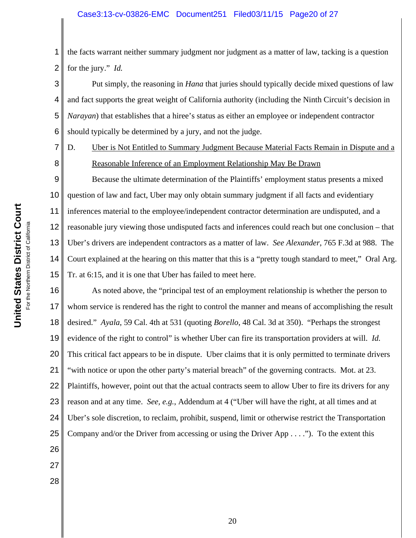### Case3:13-cv-03826-EMC Document251 Filed03/11/15 Page20 of 27

1 2 the facts warrant neither summary judgment nor judgment as a matter of law, tacking is a question for the jury." *Id.*

3 4 5 6 Put simply, the reasoning in *Hana* that juries should typically decide mixed questions of law and fact supports the great weight of California authority (including the Ninth Circuit's decision in *Narayan*) that establishes that a hiree's status as either an employee or independent contractor should typically be determined by a jury, and not the judge.

7

8

27

28

D. Uber is Not Entitled to Summary Judgment Because Material Facts Remain in Dispute and a Reasonable Inference of an Employment Relationship May Be Drawn

9 10 11 12 13 14 15 Because the ultimate determination of the Plaintiffs' employment status presents a mixed question of law and fact, Uber may only obtain summary judgment if all facts and evidentiary inferences material to the employee/independent contractor determination are undisputed, and a reasonable jury viewing those undisputed facts and inferences could reach but one conclusion – that Uber's drivers are independent contractors as a matter of law. *See Alexander*, 765 F.3d at 988. The Court explained at the hearing on this matter that this is a "pretty tough standard to meet," Oral Arg. Tr. at 6:15, and it is one that Uber has failed to meet here.

16 17 18 19 20 21 22 23 24 25 26 As noted above, the "principal test of an employment relationship is whether the person to whom service is rendered has the right to control the manner and means of accomplishing the result desired." *Ayala*, 59 Cal. 4th at 531 (quoting *Borello*, 48 Cal. 3d at 350). "Perhaps the strongest evidence of the right to control" is whether Uber can fire its transportation providers at will. *Id.* This critical fact appears to be in dispute. Uber claims that it is only permitted to terminate drivers "with notice or upon the other party's material breach" of the governing contracts. Mot. at 23. Plaintiffs, however, point out that the actual contracts seem to allow Uber to fire its drivers for any reason and at any time. *See, e.g.*, Addendum at 4 ("Uber will have the right, at all times and at Uber's sole discretion, to reclaim, prohibit, suspend, limit or otherwise restrict the Transportation Company and/or the Driver from accessing or using the Driver App  $\dots$ ."). To the extent this

United States District Court **United States District Court** For the Northern District of California For the Northern District of California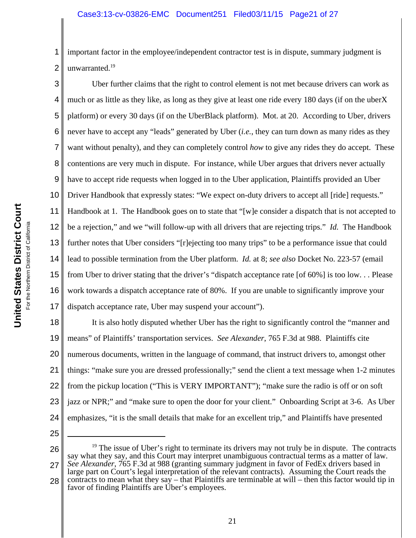1 2 important factor in the employee/independent contractor test is in dispute, summary judgment is unwarranted.<sup>19</sup>

3 4 5 6 7 8 9 10 11 12 13 14 15 16 17 Uber further claims that the right to control element is not met because drivers can work as much or as little as they like, as long as they give at least one ride every 180 days (if on the uberX platform) or every 30 days (if on the UberBlack platform). Mot. at 20. According to Uber, drivers never have to accept any "leads" generated by Uber (*i.e.*, they can turn down as many rides as they want without penalty), and they can completely control *how* to give any rides they do accept. These contentions are very much in dispute. For instance, while Uber argues that drivers never actually have to accept ride requests when logged in to the Uber application, Plaintiffs provided an Uber Driver Handbook that expressly states: "We expect on-duty drivers to accept all [ride] requests." Handbook at 1. The Handbook goes on to state that "[w]e consider a dispatch that is not accepted to be a rejection," and we "will follow-up with all drivers that are rejecting trips." *Id.* The Handbook further notes that Uber considers "[r]ejecting too many trips" to be a performance issue that could lead to possible termination from the Uber platform. *Id.* at 8; *see also* Docket No. 223-57 (email from Uber to driver stating that the driver's "dispatch acceptance rate [of 60%] is too low. . . Please work towards a dispatch acceptance rate of 80%. If you are unable to significantly improve your dispatch acceptance rate, Uber may suspend your account").

18 19 20 21 22 23 24 It is also hotly disputed whether Uber has the right to significantly control the "manner and means" of Plaintiffs' transportation services. *See Alexander*, 765 F.3d at 988. Plaintiffs cite numerous documents, written in the language of command, that instruct drivers to, amongst other things: "make sure you are dressed professionally;" send the client a text message when 1-2 minutes from the pickup location ("This is VERY IMPORTANT"); "make sure the radio is off or on soft jazz or NPR;" and "make sure to open the door for your client." Onboarding Script at 3-6. As Uber emphasizes, "it is the small details that make for an excellent trip," and Plaintiffs have presented

- 25
- 26

27  $19$  The issue of Uber's right to terminate its drivers may not truly be in dispute. The contracts say what they say, and this Court may interpret unambiguous contractual terms as a matter of law. *See Alexander*, 765 F.3d at 988 (granting summary judgment in favor of FedEx drivers based in large part on Court's legal interpretation of the relevant contracts). Assuming the Court reads the contracts to mean what they say – that Plaintiffs are terminable at will – then this factor would tip in

28 favor of finding Plaintiffs are Uber's employees.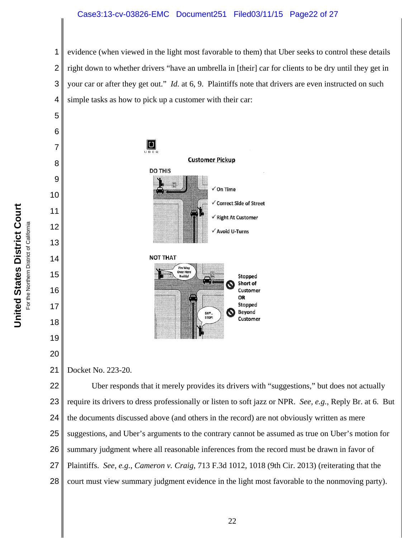### Case3:13-cv-03826-EMC Document251 Filed03/11/15 Page22 of 27

 evidence (when viewed in the light most favorable to them) that Uber seeks to control these details right down to whether drivers "have an umbrella in [their] car for clients to be dry until they get in your car or after they get out." *Id.* at 6, 9. Plaintiffs note that drivers are even instructed on such simple tasks as how to pick up a customer with their car:



 Docket No. 223-20.

 Uber responds that it merely provides its drivers with "suggestions," but does not actually require its drivers to dress professionally or listen to soft jazz or NPR. *See, e.g.*, Reply Br. at 6. But the documents discussed above (and others in the record) are not obviously written as mere suggestions, and Uber's arguments to the contrary cannot be assumed as true on Uber's motion for summary judgment where all reasonable inferences from the record must be drawn in favor of Plaintiffs. *See, e.g.*, *Cameron v. Craig*, 713 F.3d 1012, 1018 (9th Cir. 2013) (reiterating that the court must view summary judgment evidence in the light most favorable to the nonmoving party).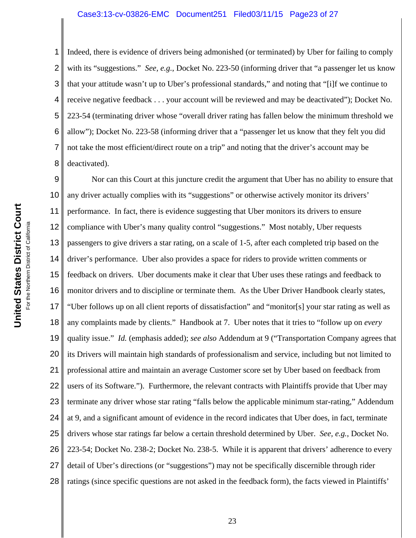### Case3:13-cv-03826-EMC Document251 Filed03/11/15 Page23 of 27

Indeed, there is evidence of drivers being admonished (or terminated) by Uber for failing to comply with its "suggestions." *See, e.g.*, Docket No. 223-50 (informing driver that "a passenger let us know that your attitude wasn't up to Uber's professional standards," and noting that "[i]f we continue to receive negative feedback . . . your account will be reviewed and may be deactivated"); Docket No. 223-54 (terminating driver whose "overall driver rating has fallen below the minimum threshold we allow"); Docket No. 223-58 (informing driver that a "passenger let us know that they felt you did not take the most efficient/direct route on a trip" and noting that the driver's account may be deactivated).

9 10 11 12 13 14 15 16 17 18 19 20 21 22 23 24 25 26 27 28 Nor can this Court at this juncture credit the argument that Uber has no ability to ensure that any driver actually complies with its "suggestions" or otherwise actively monitor its drivers' performance. In fact, there is evidence suggesting that Uber monitors its drivers to ensure compliance with Uber's many quality control "suggestions." Most notably, Uber requests passengers to give drivers a star rating, on a scale of 1-5, after each completed trip based on the driver's performance. Uber also provides a space for riders to provide written comments or feedback on drivers. Uber documents make it clear that Uber uses these ratings and feedback to monitor drivers and to discipline or terminate them. As the Uber Driver Handbook clearly states, "Uber follows up on all client reports of dissatisfaction" and "monitor[s] your star rating as well as any complaints made by clients." Handbook at 7. Uber notes that it tries to "follow up on *every* quality issue." *Id.* (emphasis added); *see also* Addendum at 9 ("Transportation Company agrees that its Drivers will maintain high standards of professionalism and service, including but not limited to professional attire and maintain an average Customer score set by Uber based on feedback from users of its Software."). Furthermore, the relevant contracts with Plaintiffs provide that Uber may terminate any driver whose star rating "falls below the applicable minimum star-rating," Addendum at 9, and a significant amount of evidence in the record indicates that Uber does, in fact, terminate drivers whose star ratings far below a certain threshold determined by Uber. *See, e.g.*, Docket No. 223-54; Docket No. 238-2; Docket No. 238-5. While it is apparent that drivers' adherence to every detail of Uber's directions (or "suggestions") may not be specifically discernible through rider ratings (since specific questions are not asked in the feedback form), the facts viewed in Plaintiffs'

1

2

3

4

5

6

7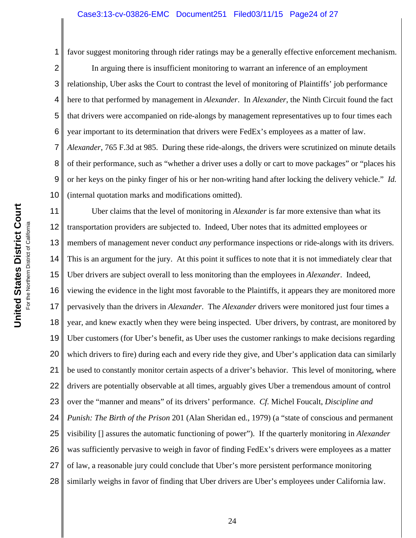1 favor suggest monitoring through rider ratings may be a generally effective enforcement mechanism.

2 3 4 5 6 7 8 9 10 In arguing there is insufficient monitoring to warrant an inference of an employment relationship, Uber asks the Court to contrast the level of monitoring of Plaintiffs' job performance here to that performed by management in *Alexander*. In *Alexander*, the Ninth Circuit found the fact that drivers were accompanied on ride-alongs by management representatives up to four times each year important to its determination that drivers were FedEx's employees as a matter of law. *Alexander*, 765 F.3d at 985. During these ride-alongs, the drivers were scrutinized on minute details of their performance, such as "whether a driver uses a dolly or cart to move packages" or "places his or her keys on the pinky finger of his or her non-writing hand after locking the delivery vehicle." *Id.* (internal quotation marks and modifications omitted).

11 12 13 14 15 16 17 18 19 20 21 22 23 24 25 26 27 28 Uber claims that the level of monitoring in *Alexander* is far more extensive than what its transportation providers are subjected to. Indeed, Uber notes that its admitted employees or members of management never conduct *any* performance inspections or ride-alongs with its drivers. This is an argument for the jury. At this point it suffices to note that it is not immediately clear that Uber drivers are subject overall to less monitoring than the employees in *Alexander*. Indeed, viewing the evidence in the light most favorable to the Plaintiffs, it appears they are monitored more pervasively than the drivers in *Alexander*. The *Alexander* drivers were monitored just four times a year, and knew exactly when they were being inspected. Uber drivers, by contrast, are monitored by Uber customers (for Uber's benefit, as Uber uses the customer rankings to make decisions regarding which drivers to fire) during each and every ride they give, and Uber's application data can similarly be used to constantly monitor certain aspects of a driver's behavior. This level of monitoring, where drivers are potentially observable at all times, arguably gives Uber a tremendous amount of control over the "manner and means" of its drivers' performance. *Cf.* Michel Foucalt, *Discipline and Punish: The Birth of the Prison* 201 (Alan Sheridan ed., 1979) (a "state of conscious and permanent visibility [] assures the automatic functioning of power"). If the quarterly monitoring in *Alexander* was sufficiently pervasive to weigh in favor of finding FedEx's drivers were employees as a matter of law, a reasonable jury could conclude that Uber's more persistent performance monitoring similarly weighs in favor of finding that Uber drivers are Uber's employees under California law.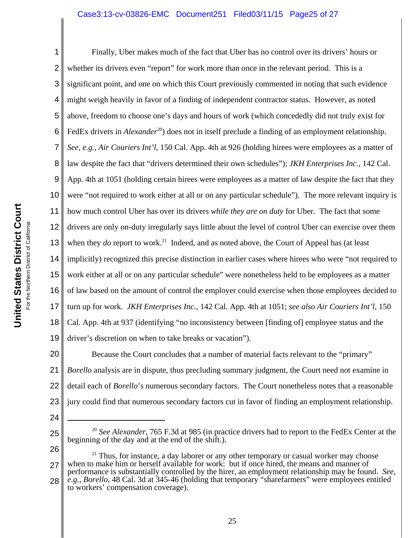### Case3:13-cv-03826-EMC Document251 Filed03/11/15 Page25 of 27

1 2 3 4 5 6 7 8 9 10 11 12 13 14 15 16 17 18 19 Finally, Uber makes much of the fact that Uber has no control over its drivers' hours or whether its drivers even "report" for work more than once in the relevant period. This is a significant point, and one on which this Court previously commented in noting that such evidence might weigh heavily in favor of a finding of independent contractor status. However, as noted above, freedom to choose one's days and hours of work (which concededly did not truly exist for FedEx drivers in *Alexander*<sup>20</sup>) does not in itself preclude a finding of an employment relationship. *See, e.g., Air Couriers Int'l*, 150 Cal. App. 4th at 926 (holding hirees were employees as a matter of law despite the fact that "drivers determined their own schedules"); *JKH Enterprises Inc.*, 142 Cal. App. 4th at 1051 (holding certain hirees were employees as a matter of law despite the fact that they were "not required to work either at all or on any particular schedule"). The more relevant inquiry is how much control Uber has over its drivers *while they are on duty* for Uber. The fact that some drivers are only on-duty irregularly says little about the level of control Uber can exercise over them when they *do* report to work.<sup>21</sup> Indeed, and as noted above, the Court of Appeal has (at least implicitly) recognized this precise distinction in earlier cases where hirees who were "not required to work either at all or on any particular schedule" were nonetheless held to be employees as a matter of law based on the amount of control the employer could exercise when those employees decided to turn up for work. *JKH Enterprises Inc.*, 142 Cal. App. 4th at 1051; *see also Air Couriers Int'l*, 150 Cal. App. 4th at 937 (identifying "no inconsistency between [finding of] employee status and the driver's discretion on when to take breaks or vacation").

20 21 22 23 Because the Court concludes that a number of material facts relevant to the "primary" *Borello* analysis are in dispute, thus precluding summary judgment, the Court need not examine in detail each of *Borello*'s numerous secondary factors. The Court nonetheless notes that a reasonable jury could find that numerous secondary factors cut in favor of finding an employment relationship.

24

- <sup>20</sup> *See Alexander*, 765 F.3d at 985 (in practice drivers had to report to the FedEx Center at the beginning of the day and at the end of the shift.).
- 26

<sup>27</sup>  $21$  Thus, for instance, a day laborer or any other temporary or casual worker may choose when to make him or herself available for work: but if once hired, the means and manner of

<sup>28</sup> performance is substantially controlled by the hirer, an employment relationship may be found. *See, e.g.*, *Borello*, 48 Cal. 3d at 345-46 (holding that temporary "sharefarmers" were employees entitled to workers' compensation coverage).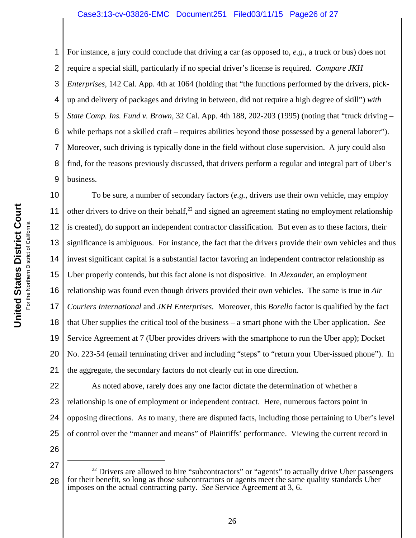#### Case3:13-cv-03826-EMC Document251 Filed03/11/15 Page26 of 27

For instance, a jury could conclude that driving a car (as opposed to, *e.g.*, a truck or bus) does not

2 3 4 5 6 7 8 9 10 11 require a special skill, particularly if no special driver's license is required. *Compare JKH Enterprises*, 142 Cal. App. 4th at 1064 (holding that "the functions performed by the drivers, pickup and delivery of packages and driving in between, did not require a high degree of skill") *with State Comp. Ins. Fund v. Brown*, 32 Cal. App. 4th 188, 202-203 (1995) (noting that "truck driving – while perhaps not a skilled craft – requires abilities beyond those possessed by a general laborer"). Moreover, such driving is typically done in the field without close supervision. A jury could also find, for the reasons previously discussed, that drivers perform a regular and integral part of Uber's business. To be sure, a number of secondary factors (*e.g.*, drivers use their own vehicle, may employ

12 13 14 15 16 17 18 19 20 21 other drivers to drive on their behalf, $^{22}$  and signed an agreement stating no employment relationship is created), do support an independent contractor classification. But even as to these factors, their significance is ambiguous. For instance, the fact that the drivers provide their own vehicles and thus invest significant capital is a substantial factor favoring an independent contractor relationship as Uber properly contends, but this fact alone is not dispositive. In *Alexander*, an employment relationship was found even though drivers provided their own vehicles. The same is true in *Air Couriers International* and *JKH Enterprises.* Moreover, this *Borello* factor is qualified by the fact that Uber supplies the critical tool of the business – a smart phone with the Uber application. *See* Service Agreement at 7 (Uber provides drivers with the smartphone to run the Uber app); Docket No. 223-54 (email terminating driver and including "steps" to "return your Uber-issued phone"). In the aggregate, the secondary factors do not clearly cut in one direction.

22 23 24 25 As noted above, rarely does any one factor dictate the determination of whether a relationship is one of employment or independent contract. Here, numerous factors point in opposing directions. As to many, there are disputed facts, including those pertaining to Uber's level of control over the "manner and means" of Plaintiffs' performance. Viewing the current record in

26

<sup>27</sup> 28  $22$  Drivers are allowed to hire "subcontractors" or "agents" to actually drive Uber passengers for their benefit, so long as those subcontractors or agents meet the same quality standards Uber imposes on the actual contracting party. *See* Service Agreement at 3, 6.